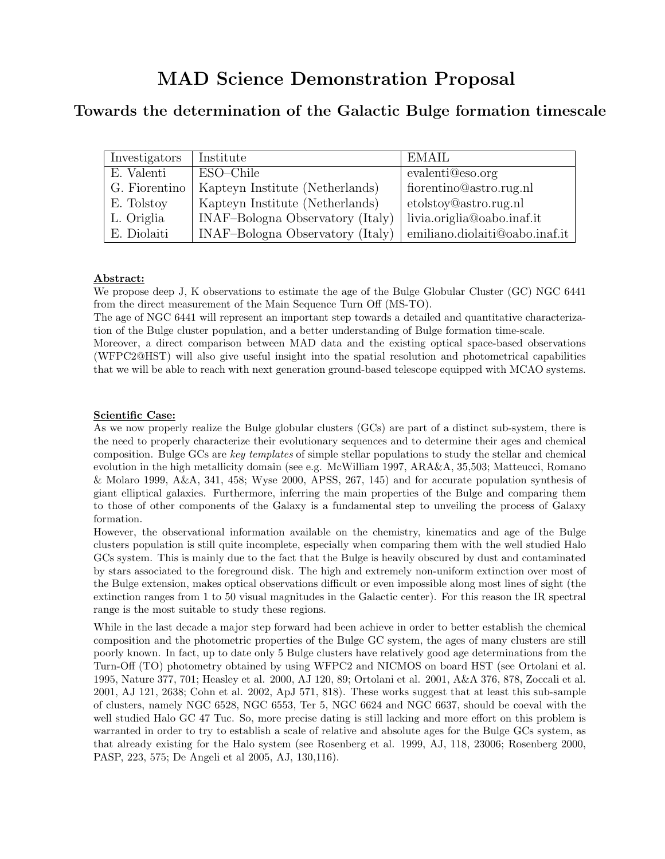# Towards the determination of the Galactic Bulge formation timescale

| Investigators | Institute                        | EMAIL                          |
|---------------|----------------------------------|--------------------------------|
| E. Valenti    | ESO-Chile                        | evalenti@eso.org               |
| G. Fiorentino | Kapteyn Institute (Netherlands)  | fiorentino@astro.rug.nl        |
| E. Tolstoy    | Kapteyn Institute (Netherlands)  | etolstoy@astro.rug.nl          |
| L. Origlia    | INAF-Bologna Observatory (Italy) | livia.origlia@oabo.inaf.it     |
| E. Diolaiti   | INAF-Bologna Observatory (Italy) | emiliano.diolaiti@oabo.inaf.it |

## Abstract:

We propose deep J, K observations to estimate the age of the Bulge Globular Cluster (GC) NGC 6441 from the direct measurement of the Main Sequence Turn Off (MS-TO).

The age of NGC 6441 will represent an important step towards a detailed and quantitative characterization of the Bulge cluster population, and a better understanding of Bulge formation time-scale.

Moreover, a direct comparison between MAD data and the existing optical space-based observations (WFPC2@HST) will also give useful insight into the spatial resolution and photometrical capabilities that we will be able to reach with next generation ground-based telescope equipped with MCAO systems.

## Scientific Case:

As we now properly realize the Bulge globular clusters (GCs) are part of a distinct sub-system, there is the need to properly characterize their evolutionary sequences and to determine their ages and chemical composition. Bulge GCs are key templates of simple stellar populations to study the stellar and chemical evolution in the high metallicity domain (see e.g. McWilliam 1997, ARA&A, 35,503; Matteucci, Romano & Molaro 1999, A&A, 341, 458; Wyse 2000, APSS, 267, 145) and for accurate population synthesis of giant elliptical galaxies. Furthermore, inferring the main properties of the Bulge and comparing them to those of other components of the Galaxy is a fundamental step to unveiling the process of Galaxy formation.

However, the observational information available on the chemistry, kinematics and age of the Bulge clusters population is still quite incomplete, especially when comparing them with the well studied Halo GCs system. This is mainly due to the fact that the Bulge is heavily obscured by dust and contaminated by stars associated to the foreground disk. The high and extremely non-uniform extinction over most of the Bulge extension, makes optical observations difficult or even impossible along most lines of sight (the extinction ranges from 1 to 50 visual magnitudes in the Galactic center). For this reason the IR spectral range is the most suitable to study these regions.

While in the last decade a major step forward had been achieve in order to better establish the chemical composition and the photometric properties of the Bulge GC system, the ages of many clusters are still poorly known. In fact, up to date only 5 Bulge clusters have relatively good age determinations from the Turn-Off (TO) photometry obtained by using WFPC2 and NICMOS on board HST (see Ortolani et al. 1995, Nature 377, 701; Heasley et al. 2000, AJ 120, 89; Ortolani et al. 2001, A&A 376, 878, Zoccali et al. 2001, AJ 121, 2638; Cohn et al. 2002, ApJ 571, 818). These works suggest that at least this sub-sample of clusters, namely NGC 6528, NGC 6553, Ter 5, NGC 6624 and NGC 6637, should be coeval with the well studied Halo GC 47 Tuc. So, more precise dating is still lacking and more effort on this problem is warranted in order to try to establish a scale of relative and absolute ages for the Bulge GCs system, as that already existing for the Halo system (see Rosenberg et al. 1999, AJ, 118, 23006; Rosenberg 2000, PASP, 223, 575; De Angeli et al 2005, AJ, 130,116).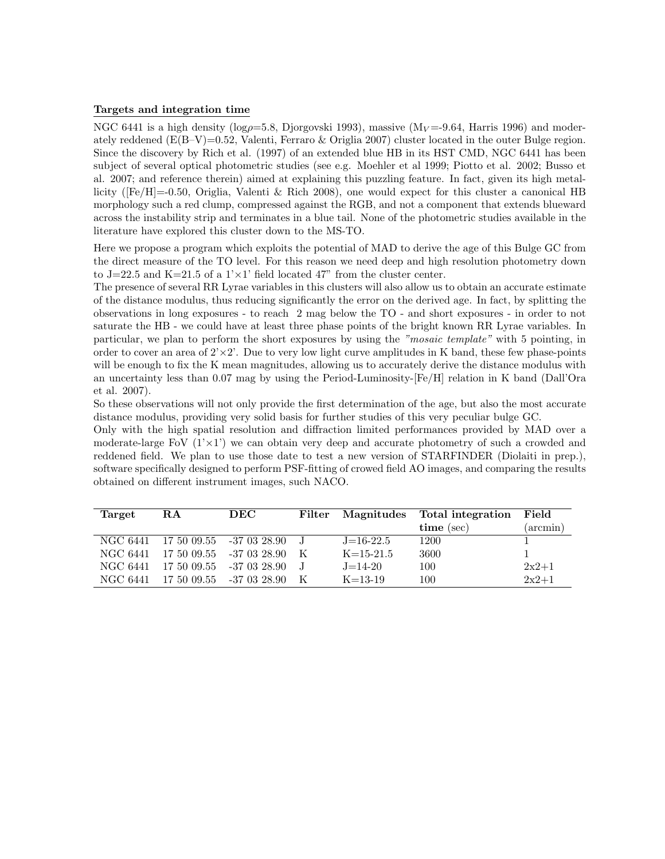### Targets and integration time

NGC 6441 is a high density ( $log\rho=5.8$ , Djorgovski 1993), massive ( $M_V=9.64$ , Harris 1996) and moderately reddened  $(E(B-V)=0.52$ , Valenti, Ferraro & Origlia 2007) cluster located in the outer Bulge region. Since the discovery by Rich et al. (1997) of an extended blue HB in its HST CMD, NGC 6441 has been subject of several optical photometric studies (see e.g. Moehler et al 1999; Piotto et al. 2002; Busso et al. 2007; and reference therein) aimed at explaining this puzzling feature. In fact, given its high metallicity ([Fe/H]=-0.50, Origlia, Valenti & Rich 2008), one would expect for this cluster a canonical HB morphology such a red clump, compressed against the RGB, and not a component that extends blueward across the instability strip and terminates in a blue tail. None of the photometric studies available in the literature have explored this cluster down to the MS-TO.

Here we propose a program which exploits the potential of MAD to derive the age of this Bulge GC from the direct measure of the TO level. For this reason we need deep and high resolution photometry down to J=22.5 and K=21.5 of a  $1 \times 1$ ' field located 47" from the cluster center.

The presence of several RR Lyrae variables in this clusters will also allow us to obtain an accurate estimate of the distance modulus, thus reducing significantly the error on the derived age. In fact, by splitting the observations in long exposures - to reach 2 mag below the TO - and short exposures - in order to not saturate the HB - we could have at least three phase points of the bright known RR Lyrae variables. In particular, we plan to perform the short exposures by using the "mosaic template" with 5 pointing, in order to cover an area of  $2 \times 2$ . Due to very low light curve amplitudes in K band, these few phase-points will be enough to fix the K mean magnitudes, allowing us to accurately derive the distance modulus with an uncertainty less than 0.07 mag by using the Period-Luminosity-[Fe/H] relation in K band (Dall'Ora et al. 2007).

So these observations will not only provide the first determination of the age, but also the most accurate distance modulus, providing very solid basis for further studies of this very peculiar bulge GC.

Only with the high spatial resolution and diffraction limited performances provided by MAD over a moderate-large FoV  $(1' \times 1')$  we can obtain very deep and accurate photometry of such a crowded and reddened field. We plan to use those date to test a new version of STARFINDER (Diolaiti in prep.), software specifically designed to perform PSF-fitting of crowed field AO images, and comparing the results obtained on different instrument images, such NACO.

| Target   | R.A         | DEC                      | Filter |                 | Magnitudes Total integration | $\rm Field$       |
|----------|-------------|--------------------------|--------|-----------------|------------------------------|-------------------|
|          |             |                          |        |                 | $time$ (sec)                 | $(\text{arcmin})$ |
| NGC 6441 |             | 17 50 09.55 -37 03 28.90 |        | $J=16-22.5$     | 1200                         |                   |
| NGC 6441 | 17 50 09.55 | -37 03 28.90             | - K    | $K = 15 - 21.5$ | 3600                         |                   |
| NGC 6441 | 17 50 09.55 | $-370328.90$             |        | $J = 14-20$     | 100                          | $2x^2+1$          |
| NGC 6441 | 17 50 09.55 | -37 03 28.90             | K      | $K = 13-19$     | 100                          | $2x^2+1$          |